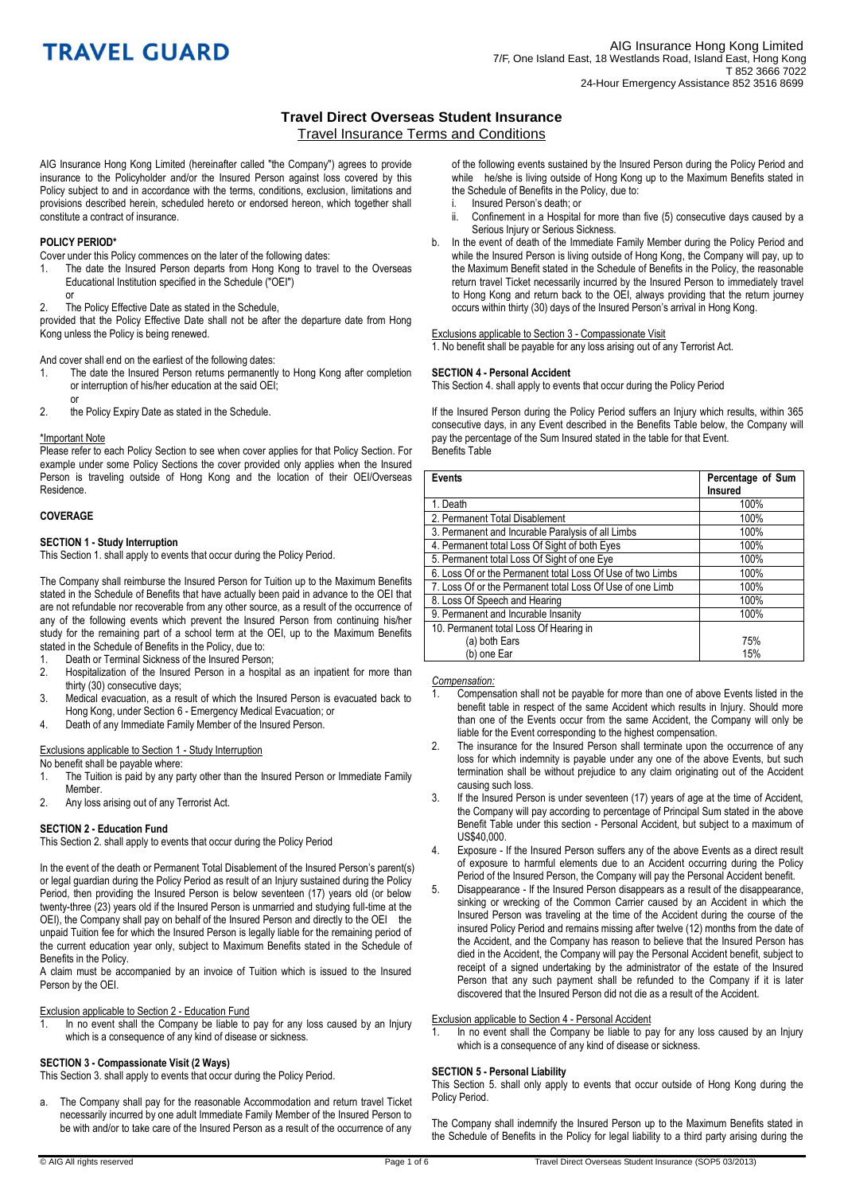## **Travel Direct Overseas Student Insurance**  Travel Insurance Terms and Conditions

AIG Insurance Hong Kong Limited (hereinafter called "the Company") agrees to provide insurance to the Policyholder and/or the Insured Person against loss covered by this Policy subject to and in accordance with the terms, conditions, exclusion, limitations and provisions described herein, scheduled hereto or endorsed hereon, which together shall constitute a contract of insurance.

## **POLICY PERIOD\***

Cover under this Policy commences on the later of the following dates:

- 1. The date the Insured Person departs from Hong Kong to travel to the Overseas Educational Institution specified in the Schedule ("OEI") or
- 2. The Policy Effective Date as stated in the Schedule,

provided that the Policy Effective Date shall not be after the departure date from Hong Kong unless the Policy is being renewed.

And cover shall end on the earliest of the following dates:

- 1. The date the Insured Person returns permanently to Hong Kong after completion or interruption of his/her education at the said OEI;
- 2. the Policy Expiry Date as stated in the Schedule.

#### \*Important Note

or

Please refer to each Policy Section to see when cover applies for that Policy Section. For example under some Policy Sections the cover provided only applies when the Insured Person is traveling outside of Hong Kong and the location of their OEI/Overseas Residence.

#### **COVERAGE**

#### **SECTION 1 - Study Interruption**

This Section 1. shall apply to events that occur during the Policy Period.

The Company shall reimburse the Insured Person for Tuition up to the Maximum Benefits stated in the Schedule of Benefits that have actually been paid in advance to the OEI that are not refundable nor recoverable from any other source, as a result of the occurrence of any of the following events which prevent the Insured Person from continuing his/her study for the remaining part of a school term at the OEI, up to the Maximum Benefits stated in the Schedule of Benefits in the Policy, due to:

- Death or Terminal Sickness of the Insured Person;
- 2. Hospitalization of the Insured Person in a hospital as an inpatient for more than thirty (30) consecutive days;
- 3. Medical evacuation, as a result of which the Insured Person is evacuated back to Hong Kong, under Section 6 - Emergency Medical Evacuation; or
- 4. Death of any Immediate Family Member of the Insured Person.

Exclusions applicable to Section 1 - Study Interruption

No benefit shall be payable where:

- 1. The Tuition is paid by any party other than the Insured Person or Immediate Family Member.
- 2. Any loss arising out of any Terrorist Act.

### **SECTION 2 - Education Fund**

This Section 2. shall apply to events that occur during the Policy Period

In the event of the death or Permanent Total Disablement of the Insured Person's parent(s) or legal guardian during the Policy Period as result of an Injury sustained during the Policy Period, then providing the Insured Person is below seventeen (17) years old (or below twenty-three (23) years old if the Insured Person is unmarried and studying full-time at the OEI), the Company shall pay on behalf of the Insured Person and directly to the OEI the unpaid Tuition fee for which the Insured Person is legally liable for the remaining period of the current education year only, subject to Maximum Benefits stated in the Schedule of Benefits in the Policy.

A claim must be accompanied by an invoice of Tuition which is issued to the Insured Person by the OEI.

#### Exclusion applicable to Section 2 - Education Fund

1. In no event shall the Company be liable to pay for any loss caused by an Injury which is a consequence of any kind of disease or sickness.

### **SECTION 3 - Compassionate Visit (2 Ways)**

This Section 3. shall apply to events that occur during the Policy Period.

a. The Company shall pay for the reasonable Accommodation and return travel Ticket necessarily incurred by one adult Immediate Family Member of the Insured Person to be with and/or to take care of the Insured Person as a result of the occurrence of any of the following events sustained by the Insured Person during the Policy Period and while he/she is living outside of Hong Kong up to the Maximum Benefits stated in the Schedule of Benefits in the Policy, due to:

- Insured Person's death; or
- ii. Confinement in a Hospital for more than five (5) consecutive days caused by a Serious Injury or Serious Sickness.
- b. In the event of death of the Immediate Family Member during the Policy Period and while the Insured Person is living outside of Hong Kong, the Company will pay, up to the Maximum Benefit stated in the Schedule of Benefits in the Policy, the reasonable return travel Ticket necessarily incurred by the Insured Person to immediately travel to Hong Kong and return back to the OEI, always providing that the return journey occurs within thirty (30) days of the Insured Person's arrival in Hong Kong.

#### Exclusions applicable to Section 3 - Compassionate Visit

1. No benefit shall be payable for any loss arising out of any Terrorist Act.

#### **SECTION 4 - Personal Accident**

This Section 4. shall apply to events that occur during the Policy Period

If the Insured Person during the Policy Period suffers an Injury which results, within 365 consecutive days, in any Event described in the Benefits Table below, the Company will pay the percentage of the Sum Insured stated in the table for that Event. Benefits Table

| <b>Events</b>                                              | Percentage of Sum<br><b>Insured</b> |
|------------------------------------------------------------|-------------------------------------|
| 1. Death                                                   | 100%                                |
| 2. Permanent Total Disablement                             | 100%                                |
| 3. Permanent and Incurable Paralysis of all Limbs          | 100%                                |
| 4. Permanent total Loss Of Sight of both Eyes              | 100%                                |
| 5. Permanent total Loss Of Sight of one Eye                | 100%                                |
| 6. Loss Of or the Permanent total Loss Of Use of two Limbs | 100%                                |
| 7. Loss Of or the Permanent total Loss Of Use of one Limb  | 100%                                |
| 8. Loss Of Speech and Hearing                              | 100%                                |
| 9. Permanent and Incurable Insanity                        | 100%                                |
| 10. Permanent total Loss Of Hearing in                     |                                     |
| (a) both Ears                                              | 75%                                 |
| (b) one Ear                                                | 15%                                 |

#### *Compensation:*

- 1. Compensation shall not be payable for more than one of above Events listed in the benefit table in respect of the same Accident which results in Injury. Should more than one of the Events occur from the same Accident, the Company will only be liable for the Event corresponding to the highest compensation.
- 2. The insurance for the Insured Person shall terminate upon the occurrence of any loss for which indemnity is payable under any one of the above Events, but such termination shall be without prejudice to any claim originating out of the Accident causing such loss.
- 3. If the Insured Person is under seventeen (17) years of age at the time of Accident, the Company will pay according to percentage of Principal Sum stated in the above Benefit Table under this section - Personal Accident, but subject to a maximum of US\$40,000.
- 4. Exposure If the Insured Person suffers any of the above Events as a direct result of exposure to harmful elements due to an Accident occurring during the Policy Period of the Insured Person, the Company will pay the Personal Accident benefit.
- 5. Disappearance If the Insured Person disappears as a result of the disappearance, sinking or wrecking of the Common Carrier caused by an Accident in which the Insured Person was traveling at the time of the Accident during the course of the insured Policy Period and remains missing after twelve (12) months from the date of the Accident, and the Company has reason to believe that the Insured Person has died in the Accident, the Company will pay the Personal Accident benefit, subject to receipt of a signed undertaking by the administrator of the estate of the Insured Person that any such payment shall be refunded to the Company if it is later discovered that the Insured Person did not die as a result of the Accident.

#### Exclusion applicable to Section 4 - Personal Accident

1. In no event shall the Company be liable to pay for any loss caused by an Injury which is a consequence of any kind of disease or sickness.

#### **SECTION 5 - Personal Liability**

This Section 5. shall only apply to events that occur outside of Hong Kong during the Policy Period.

The Company shall indemnify the Insured Person up to the Maximum Benefits stated in the Schedule of Benefits in the Policy for legal liability to a third party arising during the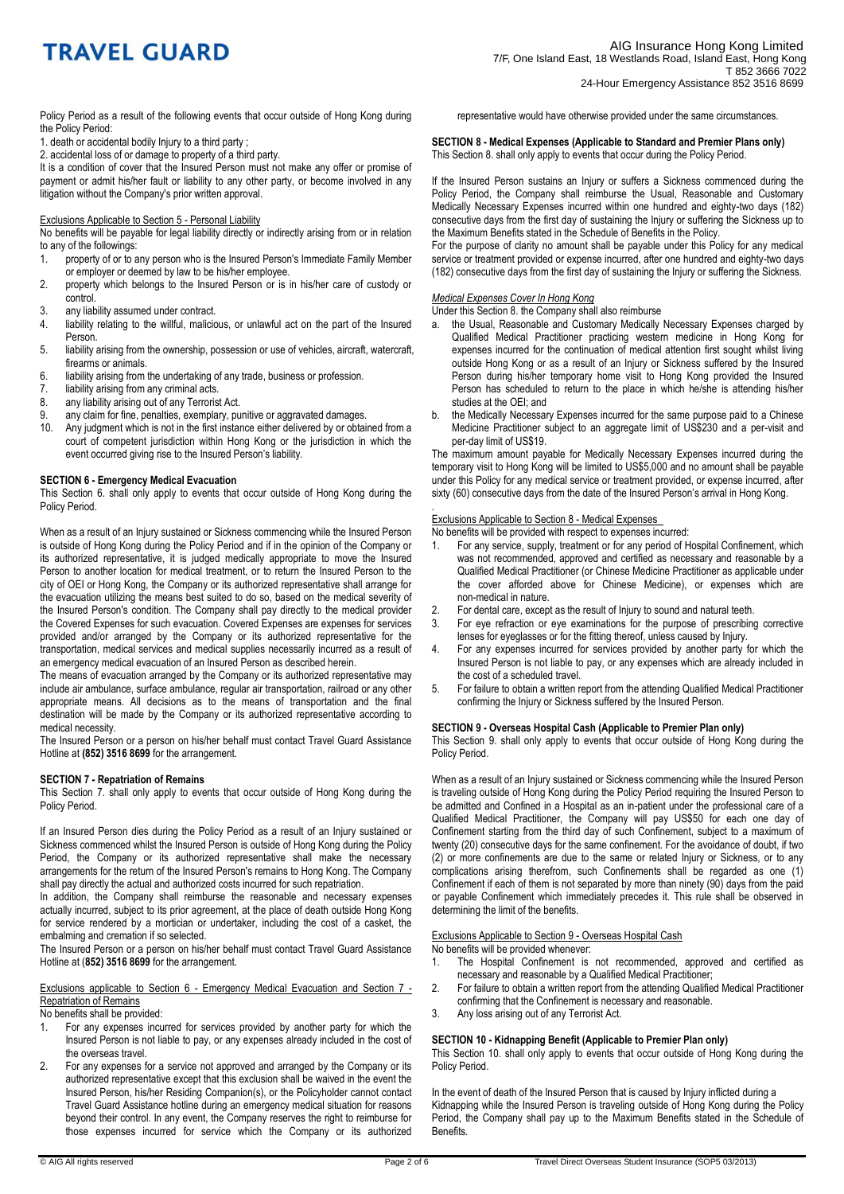Policy Period as a result of the following events that occur outside of Hong Kong during the Policy Period:

1. death or accidental bodily Injury to a third party ;

2. accidental loss of or damage to property of a third party.

It is a condition of cover that the Insured Person must not make any offer or promise of payment or admit his/her fault or liability to any other party, or become involved in any litigation without the Company's prior written approval.

## Exclusions Applicable to Section 5 - Personal Liability

No benefits will be payable for legal liability directly or indirectly arising from or in relation to any of the followings:<br>1. property of or to a

- property of or to any person who is the Insured Person's Immediate Family Member or employer or deemed by law to be his/her employee.
- 2. property which belongs to the Insured Person or is in his/her care of custody or control.
- 3. any liability assumed under contract.<br>4 liability relating to the willful malicid
- liability relating to the willful, malicious, or unlawful act on the part of the Insured Person.
- 5. liability arising from the ownership, possession or use of vehicles, aircraft, watercraft, firearms or animals.
- 6. liability arising from the undertaking of any trade, business or profession.
- 7. liability arising from any criminal acts.
- 8. any liability arising out of any Terrorist Act.<br>9. any claim for fine, penalties, exemplary, pu
- 9. any claim for fine, penalties, exemplary, punitive or aggravated damages.<br>10 Any judgment which is not in the first instance either delivered by or obtain
- Any judgment which is not in the first instance either delivered by or obtained from a court of competent jurisdiction within Hong Kong or the jurisdiction in which the event occurred giving rise to the Insured Person's liability.

#### **SECTION 6 - Emergency Medical Evacuation**

This Section 6. shall only apply to events that occur outside of Hong Kong during the Policy Period.

When as a result of an Injury sustained or Sickness commencing while the Insured Person is outside of Hong Kong during the Policy Period and if in the opinion of the Company or its authorized representative, it is judged medically appropriate to move the Insured Person to another location for medical treatment, or to return the Insured Person to the city of OEI or Hong Kong, the Company or its authorized representative shall arrange for the evacuation utilizing the means best suited to do so, based on the medical severity of the Insured Person's condition. The Company shall pay directly to the medical provider the Covered Expenses for such evacuation. Covered Expenses are expenses for services provided and/or arranged by the Company or its authorized representative for the transportation, medical services and medical supplies necessarily incurred as a result of an emergency medical evacuation of an Insured Person as described herein.

The means of evacuation arranged by the Company or its authorized representative may include air ambulance, surface ambulance, regular air transportation, railroad or any other appropriate means. All decisions as to the means of transportation and the final destination will be made by the Company or its authorized representative according to medical necessity.

The Insured Person or a person on his/her behalf must contact Travel Guard Assistance Hotline at **(852) 3516 8699** for the arrangement.

#### **SECTION 7 - Repatriation of Remains**

This Section 7. shall only apply to events that occur outside of Hong Kong during the Policy Period.

If an Insured Person dies during the Policy Period as a result of an Injury sustained or Sickness commenced whilst the Insured Person is outside of Hong Kong during the Policy Period, the Company or its authorized representative shall make the necessary arrangements for the return of the Insured Person's remains to Hong Kong. The Company shall pay directly the actual and authorized costs incurred for such repatriation.

In addition, the Company shall reimburse the reasonable and necessary expenses actually incurred, subject to its prior agreement, at the place of death outside Hong Kong for service rendered by a mortician or undertaker, including the cost of a casket, the embalming and cremation if so selected.

The Insured Person or a person on his/her behalf must contact Travel Guard Assistance Hotline at (**852) 3516 8699** for the arrangement.

Exclusions applicable to Section 6 - Emergency Medical Evacuation and Section 7 - Repatriation of Remains

No benefits shall be provided:

- 1. For any expenses incurred for services provided by another party for which the Insured Person is not liable to pay, or any expenses already included in the cost of the overseas travel.
- 2. For any expenses for a service not approved and arranged by the Company or its authorized representative except that this exclusion shall be waived in the event the Insured Person, his/her Residing Companion(s), or the Policyholder cannot contact Travel Guard Assistance hotline during an emergency medical situation for reasons beyond their control. In any event, the Company reserves the right to reimburse for those expenses incurred for service which the Company or its authorized

representative would have otherwise provided under the same circumstances.

#### **SECTION 8 - Medical Expenses (Applicable to Standard and Premier Plans only)**  This Section 8. shall only apply to events that occur during the Policy Period.

If the Insured Person sustains an Injury or suffers a Sickness commenced during the Policy Period, the Company shall reimburse the Usual, Reasonable and Customary Medically Necessary Expenses incurred within one hundred and eighty-two days (182) consecutive days from the first day of sustaining the Injury or suffering the Sickness up to the Maximum Benefits stated in the Schedule of Benefits in the Policy.

For the purpose of clarity no amount shall be payable under this Policy for any medical service or treatment provided or expense incurred, after one hundred and eighty-two days (182) consecutive days from the first day of sustaining the Injury or suffering the Sickness.

## *Medical Expenses Cover In Hong Kong*

Under this Section 8. the Company shall also reimburse

- a. the Usual, Reasonable and Customary Medically Necessary Expenses charged by Qualified Medical Practitioner practicing western medicine in Hong Kong for expenses incurred for the continuation of medical attention first sought whilst living outside Hong Kong or as a result of an Injury or Sickness suffered by the Insured Person during his/her temporary home visit to Hong Kong provided the Insured Person has scheduled to return to the place in which he/she is attending his/her studies at the OEI; and
- b. the Medically Necessary Expenses incurred for the same purpose paid to a Chinese Medicine Practitioner subject to an aggregate limit of US\$230 and a per-visit and per-day limit of US\$19.

The maximum amount payable for Medically Necessary Expenses incurred during the temporary visit to Hong Kong will be limited to US\$5,000 and no amount shall be payable under this Policy for any medical service or treatment provided, or expense incurred, after sixty (60) consecutive days from the date of the Insured Person's arrival in Hong Kong.

## Exclusions Applicable to Section 8 - Medical Expenses

.

No benefits will be provided with respect to expenses incurred:

- 1. For any service, supply, treatment or for any period of Hospital Confinement, which was not recommended, approved and certified as necessary and reasonable by a Qualified Medical Practitioner (or Chinese Medicine Practitioner as applicable under the cover afforded above for Chinese Medicine), or expenses which are non-medical in nature.
- 2. For dental care, except as the result of Injury to sound and natural teeth.
- 3. For eye refraction or eye examinations for the purpose of prescribing corrective lenses for eyeglasses or for the fitting thereof, unless caused by Injury.
- 4. For any expenses incurred for services provided by another party for which the Insured Person is not liable to pay, or any expenses which are already included in the cost of a scheduled travel.
- 5. For failure to obtain a written report from the attending Qualified Medical Practitioner confirming the Injury or Sickness suffered by the Insured Person.

#### **SECTION 9 - Overseas Hospital Cash (Applicable to Premier Plan only)**

This Section 9. shall only apply to events that occur outside of Hong Kong during the Policy Period.

When as a result of an Injury sustained or Sickness commencing while the Insured Person is traveling outside of Hong Kong during the Policy Period requiring the Insured Person to be admitted and Confined in a Hospital as an in-patient under the professional care of a Qualified Medical Practitioner, the Company will pay US\$50 for each one day of Confinement starting from the third day of such Confinement, subject to a maximum of twenty (20) consecutive days for the same confinement. For the avoidance of doubt, if two (2) or more confinements are due to the same or related Injury or Sickness, or to any complications arising therefrom, such Confinements shall be regarded as one (1) Confinement if each of them is not separated by more than ninety (90) days from the paid or payable Confinement which immediately precedes it. This rule shall be observed in determining the limit of the benefits.

#### Exclusions Applicable to Section 9 - Overseas Hospital Cash

No benefits will be provided whenever:

- 1. The Hospital Confinement is not recommended, approved and certified as necessary and reasonable by a Qualified Medical Practitioner;
- 2. For failure to obtain a written report from the attending Qualified Medical Practitioner confirming that the Confinement is necessary and reasonable.
- 3. Any loss arising out of any Terrorist Act.

## **SECTION 10 - Kidnapping Benefit (Applicable to Premier Plan only)**

This Section 10. shall only apply to events that occur outside of Hong Kong during the Policy Period.

In the event of death of the Insured Person that is caused by Injury inflicted during a Kidnapping while the Insured Person is traveling outside of Hong Kong during the Policy Period, the Company shall pay up to the Maximum Benefits stated in the Schedule of Benefits.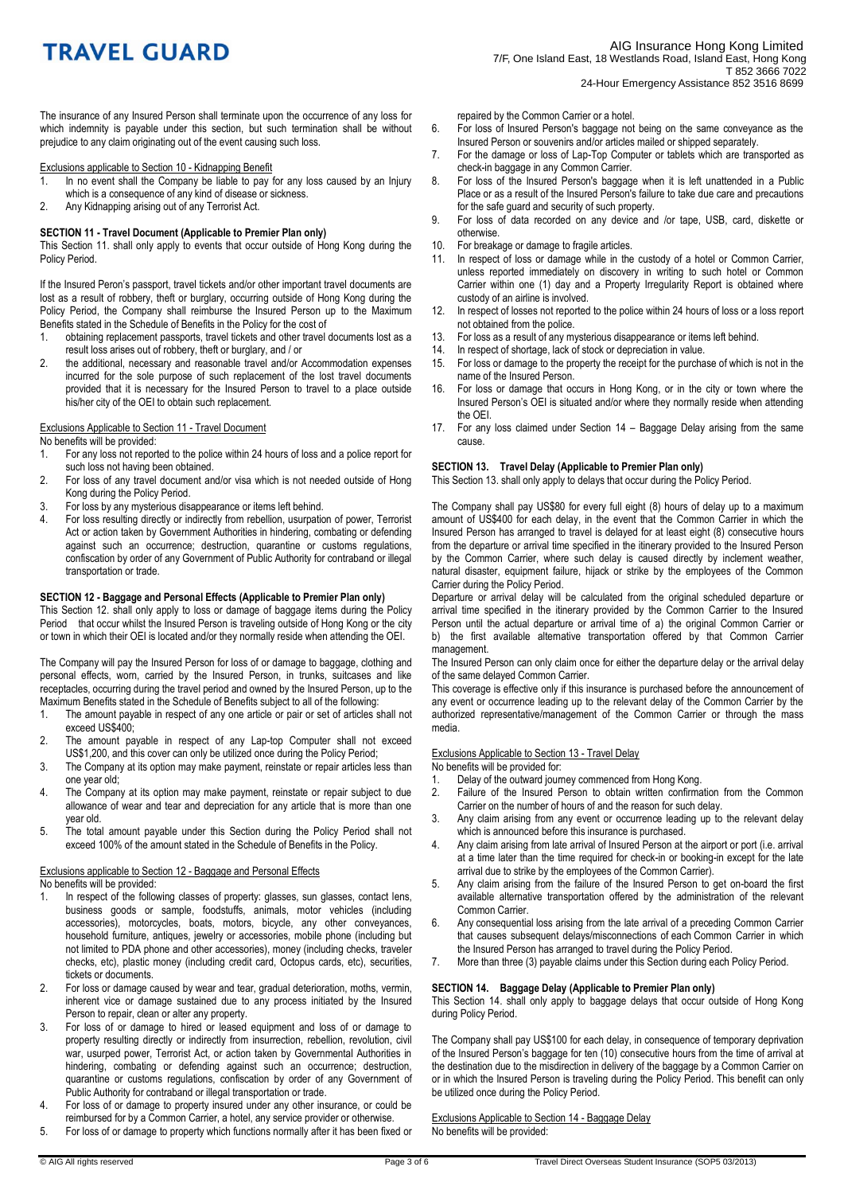The insurance of any Insured Person shall terminate upon the occurrence of any loss for which indemnity is payable under this section, but such termination shall be without prejudice to any claim originating out of the event causing such loss.

# Exclusions applicable to Section 10 - Kidnapping Benefit<br>1. In no event shall the Company be liable to pay to

- In no event shall the Company be liable to pay for any loss caused by an Injury which is a consequence of any kind of disease or sickness.
- 2. Any Kidnapping arising out of any Terrorist Act.

#### **SECTION 11 - Travel Document (Applicable to Premier Plan only)**

This Section 11. shall only apply to events that occur outside of Hong Kong during the Policy Period.

If the Insured Peron's passport, travel tickets and/or other important travel documents are lost as a result of robbery, theft or burglary, occurring outside of Hong Kong during the Policy Period, the Company shall reimburse the Insured Person up to the Maximum Benefits stated in the Schedule of Benefits in the Policy for the cost of

- 1. obtaining replacement passports, travel tickets and other travel documents lost as a result loss arises out of robbery, theft or burglary, and / or
- 2. the additional, necessary and reasonable travel and/or Accommodation expenses incurred for the sole purpose of such replacement of the lost travel documents provided that it is necessary for the Insured Person to travel to a place outside his/her city of the OEI to obtain such replacement.

#### Exclusions Applicable to Section 11 - Travel Document

No benefits will be provided:

- 1. For any loss not reported to the police within 24 hours of loss and a police report for such loss not having been obtained.
- 2. For loss of any travel document and/or visa which is not needed outside of Hong Kong during the Policy Period.
- 3. For loss by any mysterious disappearance or items left behind.
- 4. For loss resulting directly or indirectly from rebellion, usurpation of power, Terrorist Act or action taken by Government Authorities in hindering, combating or defending against such an occurrence; destruction, quarantine or customs regulations, confiscation by order of any Government of Public Authority for contraband or illegal transportation or trade.

#### **SECTION 12 - Baggage and Personal Effects (Applicable to Premier Plan only)**

This Section 12. shall only apply to loss or damage of baggage items during the Policy Period that occur whilst the Insured Person is traveling outside of Hong Kong or the city or town in which their OEI is located and/or they normally reside when attending the OEI.

The Company will pay the Insured Person for loss of or damage to baggage, clothing and personal effects, worn, carried by the Insured Person, in trunks, suitcases and like receptacles, occurring during the travel period and owned by the Insured Person, up to the Maximum Benefits stated in the Schedule of Benefits subject to all of the following:

- 1. The amount payable in respect of any one article or pair or set of articles shall not exceed US\$400;
- 2. The amount payable in respect of any Lap-top Computer shall not exceed US\$1,200, and this cover can only be utilized once during the Policy Period;
- 3. The Company at its option may make payment, reinstate or repair articles less than one year old;
- 4. The Company at its option may make payment, reinstate or repair subject to due allowance of wear and tear and depreciation for any article that is more than one year old.
- 5. The total amount payable under this Section during the Policy Period shall not exceed 100% of the amount stated in the Schedule of Benefits in the Policy.

#### Exclusions applicable to Section 12 - Baggage and Personal Effects No benefits will be provided:

- 1. In respect of the following classes of property: glasses, sun glasses, contact lens, business goods or sample, foodstuffs, animals, motor vehicles (including accessories), motorcycles, boats, motors, bicycle, any other conveyances, household furniture, antiques, jewelry or accessories, mobile phone (including but not limited to PDA phone and other accessories), money (including checks, traveler checks, etc), plastic money (including credit card, Octopus cards, etc), securities, tickets or documents.
- 2. For loss or damage caused by wear and tear, gradual deterioration, moths, vermin, inherent vice or damage sustained due to any process initiated by the Insured Person to repair, clean or alter any property.
- 3. For loss of or damage to hired or leased equipment and loss of or damage to property resulting directly or indirectly from insurrection, rebellion, revolution, civil war, usurped power, Terrorist Act, or action taken by Governmental Authorities in hindering, combating or defending against such an occurrence; destruction, quarantine or customs regulations, confiscation by order of any Government of Public Authority for contraband or illegal transportation or trade.
- 4. For loss of or damage to property insured under any other insurance, or could be reimbursed for by a Common Carrier, a hotel, any service provider or otherwise.
- 5. For loss of or damage to property which functions normally after it has been fixed or

repaired by the Common Carrier or a hotel.

- 6. For loss of Insured Person's baggage not being on the same conveyance as the Insured Person or souvenirs and/or articles mailed or shipped separately.
- 7. For the damage or loss of Lap-Top Computer or tablets which are transported as check-in baggage in any Common Carrier.
- 8. For loss of the Insured Person's baggage when it is left unattended in a Public Place or as a result of the Insured Person's failure to take due care and precautions for the safe guard and security of such property.
- 9. For loss of data recorded on any device and /or tape, USB, card, diskette or otherwise.
- 10. For breakage or damage to fragile articles.<br>11. In respect of loss or damage while in the
- In respect of loss or damage while in the custody of a hotel or Common Carrier, unless reported immediately on discovery in writing to such hotel or Common Carrier within one (1) day and a Property Irregularity Report is obtained where custody of an airline is involved.
- 12. In respect of losses not reported to the police within 24 hours of loss or a loss report not obtained from the police.
- 13. For loss as a result of any mysterious disappearance or items left behind.
- 14. In respect of shortage, lack of stock or depreciation in value.<br>15. For loss or damage to the property the receipt for the purcha
- For loss or damage to the property the receipt for the purchase of which is not in the name of the Insured Person.
- 16. For loss or damage that occurs in Hong Kong, or in the city or town where the Insured Person's OEI is situated and/or where they normally reside when attending the OEI.
- 17. For any loss claimed under Section 14 Baggage Delay arising from the same cause.

## **SECTION 13. Travel Delay (Applicable to Premier Plan only)**

This Section 13. shall only apply to delays that occur during the Policy Period.

The Company shall pay US\$80 for every full eight (8) hours of delay up to a maximum amount of US\$400 for each delay, in the event that the Common Carrier in which the Insured Person has arranged to travel is delayed for at least eight (8) consecutive hours from the departure or arrival time specified in the itinerary provided to the Insured Person by the Common Carrier, where such delay is caused directly by inclement weather, natural disaster, equipment failure, hijack or strike by the employees of the Common Carrier during the Policy Period.

Departure or arrival delay will be calculated from the original scheduled departure or arrival time specified in the itinerary provided by the Common Carrier to the Insured Person until the actual departure or arrival time of a) the original Common Carrier or b) the first available alternative transportation offered by that Common Carrier management.

The Insured Person can only claim once for either the departure delay or the arrival delay of the same delayed Common Carrier.

This coverage is effective only if this insurance is purchased before the announcement of any event or occurrence leading up to the relevant delay of the Common Carrier by the authorized representative/management of the Common Carrier or through the mass media.

### Exclusions Applicable to Section 13 - Travel Delay

No benefits will be provided for:

- 1. Delay of the outward journey commenced from Hong Kong.<br>2. Failure of the Insured Person to obtain written confirma
- Failure of the Insured Person to obtain written confirmation from the Common Carrier on the number of hours of and the reason for such delay.
- 3. Any claim arising from any event or occurrence leading up to the relevant delay which is announced before this insurance is purchased.
- 4. Any claim arising from late arrival of Insured Person at the airport or port (i.e. arrival at a time later than the time required for check-in or booking-in except for the late arrival due to strike by the employees of the Common Carrier).
- 5. Any claim arising from the failure of the Insured Person to get on-board the first available alternative transportation offered by the administration of the relevant Common Carrier.
- 6. Any consequential loss arising from the late arrival of a preceding Common Carrier that causes subsequent delays/misconnections of each Common Carrier in which the Insured Person has arranged to travel during the Policy Period.
- 7. More than three (3) payable claims under this Section during each Policy Period.

#### **SECTION 14. Baggage Delay (Applicable to Premier Plan only)**

This Section 14. shall only apply to baggage delays that occur outside of Hong Kong during Policy Period.

The Company shall pay US\$100 for each delay, in consequence of temporary deprivation of the Insured Person's baggage for ten (10) consecutive hours from the time of arrival at the destination due to the misdirection in delivery of the baggage by a Common Carrier on or in which the Insured Person is traveling during the Policy Period. This benefit can only be utilized once during the Policy Period.

Exclusions Applicable to Section 14 - Baggage Delay No benefits will be provided: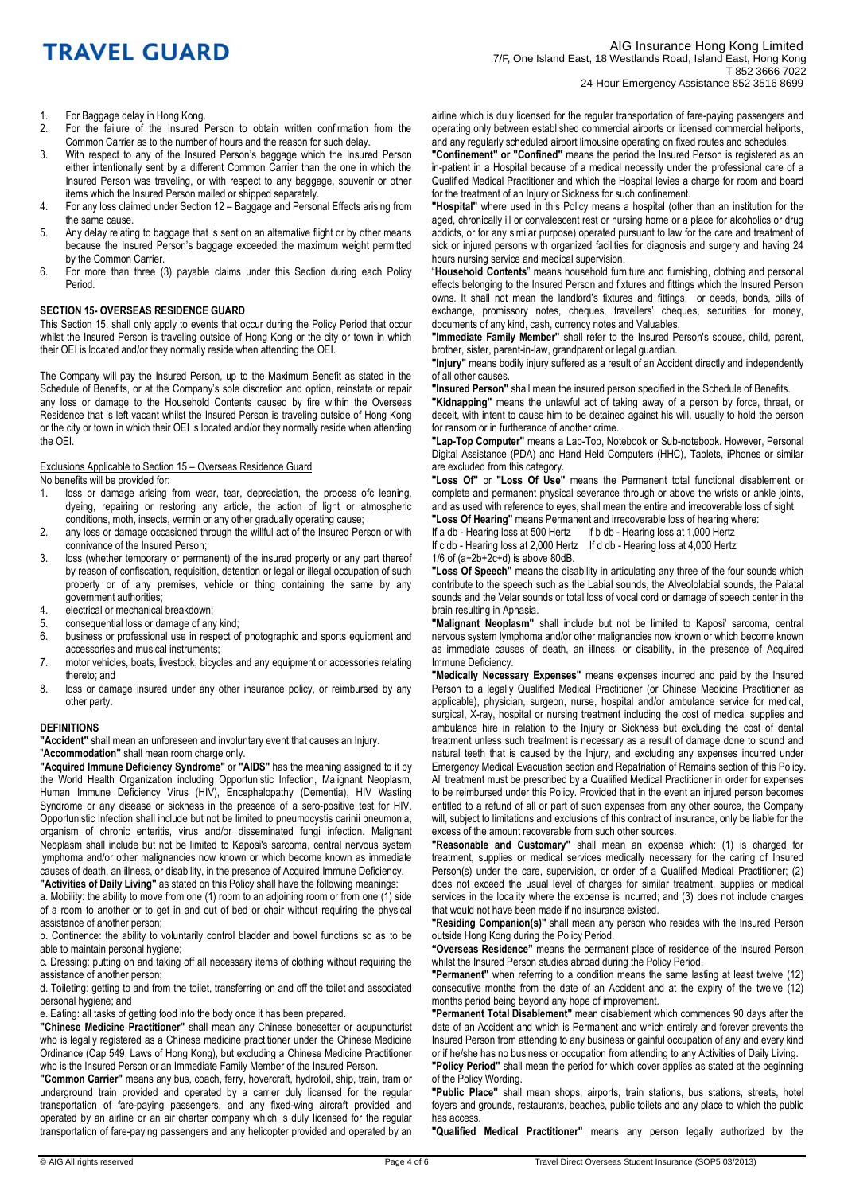- 1. For Baggage delay in Hong Kong.
- 2. For the failure of the Insured Person to obtain written confirmation from the Common Carrier as to the number of hours and the reason for such delay.
- 3. With respect to any of the Insured Person's baggage which the Insured Person either intentionally sent by a different Common Carrier than the one in which the Insured Person was traveling, or with respect to any baggage, souvenir or other items which the Insured Person mailed or shipped separately.
- 4. For any loss claimed under Section 12 Baggage and Personal Effects arising from the same cause.
- 5. Any delay relating to baggage that is sent on an alternative flight or by other means because the Insured Person's baggage exceeded the maximum weight permitted by the Common Carrier.
- 6. For more than three (3) payable claims under this Section during each Policy Period.

#### **SECTION 15- OVERSEAS RESIDENCE GUARD**

This Section 15. shall only apply to events that occur during the Policy Period that occur whilst the Insured Person is traveling outside of Hong Kong or the city or town in which their OEI is located and/or they normally reside when attending the OEI.

The Company will pay the Insured Person, up to the Maximum Benefit as stated in the Schedule of Benefits, or at the Company's sole discretion and option, reinstate or repair any loss or damage to the Household Contents caused by fire within the Overseas Residence that is left vacant whilst the Insured Person is traveling outside of Hong Kong or the city or town in which their OEI is located and/or they normally reside when attending the OEI.

### Exclusions Applicable to Section 15 – Overseas Residence Guard

No benefits will be provided for:

- 1. loss or damage arising from wear, tear, depreciation, the process ofc leaning, dyeing, repairing or restoring any article, the action of light or atmospheric conditions, moth, insects, vermin or any other gradually operating cause;
- 2. any loss or damage occasioned through the willful act of the Insured Person or with connivance of the Insured Person;
- 3. loss (whether temporary or permanent) of the insured property or any part thereof by reason of confiscation, requisition, detention or legal or illegal occupation of such property or of any premises, vehicle or thing containing the same by any government authorities;
- 4. electrical or mechanical breakdown;
- 5. consequential loss or damage of any kind;<br>6. business or professional use in respect of
- business or professional use in respect of photographic and sports equipment and accessories and musical instruments;
- 7. motor vehicles, boats, livestock, bicycles and any equipment or accessories relating thereto; and
- 8. loss or damage insured under any other insurance policy, or reimbursed by any other party.

#### **DEFINITIONS**

**"Accident"** shall mean an unforeseen and involuntary event that causes an Injury.

"**Accommodation"** shall mean room charge only.

**"Acquired Immune Deficiency Syndrome"** or **"AIDS"** has the meaning assigned to it by the World Health Organization including Opportunistic Infection, Malignant Neoplasm, Human Immune Deficiency Virus (HIV), Encephalopathy (Dementia), HIV Wasting Syndrome or any disease or sickness in the presence of a sero-positive test for HIV. Opportunistic Infection shall include but not be limited to pneumocystis carinii pneumonia, organism of chronic enteritis, virus and/or disseminated fungi infection. Malignant Neoplasm shall include but not be limited to Kaposi's sarcoma, central nervous system lymphoma and/or other malignancies now known or which become known as immediate causes of death, an illness, or disability, in the presence of Acquired Immune Deficiency. **"Activities of Daily Living"** as stated on this Policy shall have the following meanings:

a. Mobility: the ability to move from one (1) room to an adjoining room or from one (1) side of a room to another or to get in and out of bed or chair without requiring the physical assistance of another person;

b. Continence: the ability to voluntarily control bladder and bowel functions so as to be able to maintain personal hygiene;

c. Dressing: putting on and taking off all necessary items of clothing without requiring the assistance of another person;

d. Toileting: getting to and from the toilet, transferring on and off the toilet and associated personal hygiene; and

e. Eating: all tasks of getting food into the body once it has been prepared.

**"Chinese Medicine Practitioner"** shall mean any Chinese bonesetter or acupuncturist who is legally registered as a Chinese medicine practitioner under the Chinese Medicine Ordinance (Cap 549, Laws of Hong Kong), but excluding a Chinese Medicine Practitioner who is the Insured Person or an Immediate Family Member of the Insured Person.

**"Common Carrier"** means any bus, coach, ferry, hovercraft, hydrofoil, ship, train, tram or underground train provided and operated by a carrier duly licensed for the regular transportation of fare-paying passengers, and any fixed-wing aircraft provided and operated by an airline or an air charter company which is duly licensed for the regular transportation of fare-paying passengers and any helicopter provided and operated by an airline which is duly licensed for the regular transportation of fare-paying passengers and operating only between established commercial airports or licensed commercial heliports, and any regularly scheduled airport limousine operating on fixed routes and schedules.

**"Confinement" or "Confined"** means the period the Insured Person is registered as an in-patient in a Hospital because of a medical necessity under the professional care of a Qualified Medical Practitioner and which the Hospital levies a charge for room and board for the treatment of an Injury or Sickness for such confinement.

**"Hospital"** where used in this Policy means a hospital (other than an institution for the aged, chronically ill or convalescent rest or nursing home or a place for alcoholics or drug addicts, or for any similar purpose) operated pursuant to law for the care and treatment of sick or injured persons with organized facilities for diagnosis and surgery and having 24 hours nursing service and medical supervision.

"**Household Contents**" means household furniture and furnishing, clothing and personal effects belonging to the Insured Person and fixtures and fittings which the Insured Person owns. It shall not mean the landlord's fixtures and fittings, or deeds, bonds, bills of exchange, promissory notes, cheques, travellers' cheques, securities for money, documents of any kind, cash, currency notes and Valuables.

**"Immediate Family Member"** shall refer to the Insured Person's spouse, child, parent, brother, sister, parent-in-law, grandparent or legal guardian.

**"Injury"** means bodily injury suffered as a result of an Accident directly and independently of all other causes.

**"Insured Person"** shall mean the insured person specified in the Schedule of Benefits.

**"Kidnapping"** means the unlawful act of taking away of a person by force, threat, or deceit, with intent to cause him to be detained against his will, usually to hold the person for ransom or in furtherance of another crime.

**"Lap-Top Computer"** means a Lap-Top, Notebook or Sub-notebook. However, Personal Digital Assistance (PDA) and Hand Held Computers (HHC), Tablets, iPhones or similar are excluded from this category.

**"Loss Of"** or **"Loss Of Use"** means the Permanent total functional disablement or complete and permanent physical severance through or above the wrists or ankle joints, and as used with reference to eyes, shall mean the entire and irrecoverable loss of sight. **"Loss Of Hearing"** means Permanent and irrecoverable loss of hearing where:

If a db - Hearing loss at 500 Hertz If b db - Hearing loss at 1,000 Hertz

If c db - Hearing loss at 2,000 Hertz If d db - Hearing loss at 4,000 Hertz

 $1/6$  of (a+2b+2c+d) is above 80dB.

**"Loss Of Speech"** means the disability in articulating any three of the four sounds which contribute to the speech such as the Labial sounds, the Alveololabial sounds, the Palatal sounds and the Velar sounds or total loss of vocal cord or damage of speech center in the brain resulting in Aphasia.

**"Malignant Neoplasm"** shall include but not be limited to Kaposi' sarcoma, central nervous system lymphoma and/or other malignancies now known or which become known as immediate causes of death, an illness, or disability, in the presence of Acquired Immune Deficiency.

**"Medically Necessary Expenses"** means expenses incurred and paid by the Insured Person to a legally Qualified Medical Practitioner (or Chinese Medicine Practitioner as applicable), physician, surgeon, nurse, hospital and/or ambulance service for medical, surgical, X-ray, hospital or nursing treatment including the cost of medical supplies and ambulance hire in relation to the Injury or Sickness but excluding the cost of dental treatment unless such treatment is necessary as a result of damage done to sound and natural teeth that is caused by the Injury, and excluding any expenses incurred under Emergency Medical Evacuation section and Repatriation of Remains section of this Policy. All treatment must be prescribed by a Qualified Medical Practitioner in order for expenses to be reimbursed under this Policy. Provided that in the event an injured person becomes entitled to a refund of all or part of such expenses from any other source, the Company will, subject to limitations and exclusions of this contract of insurance, only be liable for the excess of the amount recoverable from such other sources.

**"Reasonable and Customary"** shall mean an expense which: (1) is charged for treatment, supplies or medical services medically necessary for the caring of Insured Person(s) under the care, supervision, or order of a Qualified Medical Practitioner; (2) does not exceed the usual level of charges for similar treatment, supplies or medical services in the locality where the expense is incurred; and (3) does not include charges that would not have been made if no insurance existed.

**"Residing Companion(s)"** shall mean any person who resides with the Insured Person outside Hong Kong during the Policy Period.

**"Overseas Residence"** means the permanent place of residence of the Insured Person whilst the Insured Person studies abroad during the Policy Period.

**"Permanent"** when referring to a condition means the same lasting at least twelve (12) consecutive months from the date of an Accident and at the expiry of the twelve (12) months period being beyond any hope of improvement.

**"Permanent Total Disablement"** mean disablement which commences 90 days after the date of an Accident and which is Permanent and which entirely and forever prevents the Insured Person from attending to any business or gainful occupation of any and every kind or if he/she has no business or occupation from attending to any Activities of Daily Living.

**"Policy Period"** shall mean the period for which cover applies as stated at the beginning of the Policy Wording.

**"Public Place"** shall mean shops, airports, train stations, bus stations, streets, hotel foyers and grounds, restaurants, beaches, public toilets and any place to which the public has access.

**"Qualified Medical Practitioner"** means any person legally authorized by the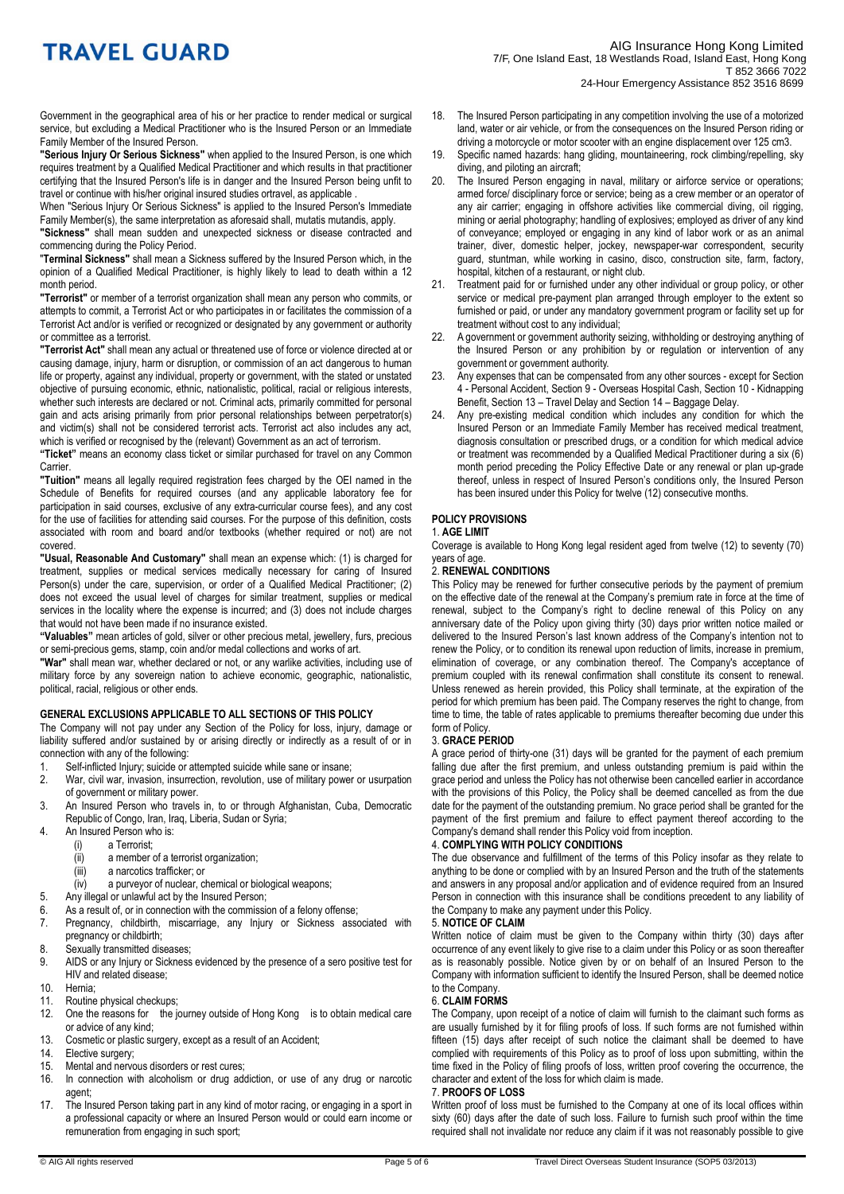Government in the geographical area of his or her practice to render medical or surgical service, but excluding a Medical Practitioner who is the Insured Person or an Immediate Family Member of the Insured Person.

**"Serious Injury Or Serious Sickness"** when applied to the Insured Person, is one which requires treatment by a Qualified Medical Practitioner and which results in that practitioner certifying that the Insured Person's life is in danger and the Insured Person being unfit to travel or continue with his/her original insured studies ortravel, as applicable .

When "Serious Injury Or Serious Sickness" is applied to the Insured Person's Immediate Family Member(s), the same interpretation as aforesaid shall, mutatis mutandis, apply.

**"Sickness"** shall mean sudden and unexpected sickness or disease contracted and commencing during the Policy Period.

"**Terminal Sickness"** shall mean a Sickness suffered by the Insured Person which, in the opinion of a Qualified Medical Practitioner, is highly likely to lead to death within a 12 month period.

**"Terrorist"** or member of a terrorist organization shall mean any person who commits, or attempts to commit, a Terrorist Act or who participates in or facilitates the commission of a Terrorist Act and/or is verified or recognized or designated by any government or authority or committee as a terrorist.

**"Terrorist Act"** shall mean any actual or threatened use of force or violence directed at or causing damage, injury, harm or disruption, or commission of an act dangerous to human life or property, against any individual, property or government, with the stated or unstated objective of pursuing economic, ethnic, nationalistic, political, racial or religious interests, whether such interests are declared or not. Criminal acts, primarily committed for personal gain and acts arising primarily from prior personal relationships between perpetrator(s) and victim(s) shall not be considered terrorist acts. Terrorist act also includes any act, which is verified or recognised by the (relevant) Government as an act of terrorism.

**"Ticket"** means an economy class ticket or similar purchased for travel on any Common **Carrier** 

**"Tuition"** means all legally required registration fees charged by the OEI named in the Schedule of Benefits for required courses (and any applicable laboratory fee for participation in said courses, exclusive of any extra-curricular course fees), and any cost for the use of facilities for attending said courses. For the purpose of this definition, costs associated with room and board and/or textbooks (whether required or not) are not covered.

**"Usual, Reasonable And Customary"** shall mean an expense which: (1) is charged for treatment, supplies or medical services medically necessary for caring of Insured Person(s) under the care, supervision, or order of a Qualified Medical Practitioner; (2) does not exceed the usual level of charges for similar treatment, supplies or medical services in the locality where the expense is incurred; and (3) does not include charges that would not have been made if no insurance existed.

**"Valuables"** mean articles of gold, silver or other precious metal, jewellery, furs, precious or semi-precious gems, stamp, coin and/or medal collections and works of art.

**"War"** shall mean war, whether declared or not, or any warlike activities, including use of military force by any sovereign nation to achieve economic, geographic, nationalistic, political, racial, religious or other ends.

## **GENERAL EXCLUSIONS APPLICABLE TO ALL SECTIONS OF THIS POLICY**

The Company will not pay under any Section of the Policy for loss, injury, damage or liability suffered and/or sustained by or arising directly or indirectly as a result of or in connection with any of the following:

- 1. Self-inflicted Injury; suicide or attempted suicide while sane or insane;
- 2. War, civil war, invasion, insurrection, revolution, use of military power or usurpation of government or military power.
- 3. An Insured Person who travels in, to or through Afghanistan, Cuba, Democratic Republic of Congo, Iran, Iraq, Liberia, Sudan or Syria;
- 4. An Insured Person who is:<br>(i) a Terrorist;
	- a Terrorist:
	- (ii) a member of a terrorist organization;
	- (iii) a narcotics trafficker; or
	- $(iv)$  a purveyor of nuclear, chemical or biological weapons;
- 5. Any illegal or unlawful act by the Insured Person;
- 6. As a result of, or in connection with the commission of a felony offense;
- Pregnancy, childbirth, miscarriage, any Injury or Sickness associated with pregnancy or childbirth;
- 8. Sexually transmitted diseases:
- 9. AIDS or any Injury or Sickness evidenced by the presence of a sero positive test for HIV and related disease;
- 10. Hernia;
- 11. Routine physical checkups;<br>12. One the reasons for the in
- 12. One the reasons for the journey outside of Hong Kong is to obtain medical care or advice of any kind;
- 13. Cosmetic or plastic surgery, except as a result of an Accident;
- 14. Elective surgery;<br>15. Mental and nervo
- 15. Mental and nervous disorders or rest cures;<br>16. In connection with alcoholism or drug ad
- In connection with alcoholism or drug addiction, or use of any drug or narcotic agent;
- 17. The Insured Person taking part in any kind of motor racing, or engaging in a sport in a professional capacity or where an Insured Person would or could earn income or remuneration from engaging in such sport;
- 18. The Insured Person participating in any competition involving the use of a motorized land, water or air vehicle, or from the consequences on the Insured Person riding or driving a motorcycle or motor scooter with an engine displacement over 125 cm3.
- 19. Specific named hazards: hang gliding, mountaineering, rock climbing/repelling, sky diving, and piloting an aircraft;
- 20. The Insured Person engaging in naval, military or airforce service or operations; armed force/ disciplinary force or service; being as a crew member or an operator of any air carrier; engaging in offshore activities like commercial diving, oil rigging, mining or aerial photography; handling of explosives; employed as driver of any kind of conveyance; employed or engaging in any kind of labor work or as an animal trainer, diver, domestic helper, jockey, newspaper-war correspondent, security guard, stuntman, while working in casino, disco, construction site, farm, factory, hospital, kitchen of a restaurant, or night club.
- 21. Treatment paid for or furnished under any other individual or group policy, or other service or medical pre-payment plan arranged through employer to the extent so furnished or paid, or under any mandatory government program or facility set up for treatment without cost to any individual;
- 22. A government or government authority seizing, withholding or destroying anything of the Insured Person or any prohibition by or regulation or intervention of any government or government authority.
- 23. Any expenses that can be compensated from any other sources except for Section 4 - Personal Accident, Section 9 - Overseas Hospital Cash, Section 10 - Kidnapping Benefit, Section 13 – Travel Delay and Section 14 – Baggage Delay.
- 24. Any pre-existing medical condition which includes any condition for which the Insured Person or an Immediate Family Member has received medical treatment, diagnosis consultation or prescribed drugs, or a condition for which medical advice or treatment was recommended by a Qualified Medical Practitioner during a six (6) month period preceding the Policy Effective Date or any renewal or plan up-grade thereof, unless in respect of Insured Person's conditions only, the Insured Person has been insured under this Policy for twelve (12) consecutive months.

#### **POLICY PROVISIONS**

#### 1. **AGE LIMIT**

Coverage is available to Hong Kong legal resident aged from twelve (12) to seventy (70) years of age.

#### 2. **RENEWAL CONDITIONS**

This Policy may be renewed for further consecutive periods by the payment of premium on the effective date of the renewal at the Company's premium rate in force at the time of renewal, subject to the Company's right to decline renewal of this Policy on any anniversary date of the Policy upon giving thirty (30) days prior written notice mailed or delivered to the Insured Person's last known address of the Company's intention not to renew the Policy, or to condition its renewal upon reduction of limits, increase in premium, elimination of coverage, or any combination thereof. The Company's acceptance of premium coupled with its renewal confirmation shall constitute its consent to renewal. Unless renewed as herein provided, this Policy shall terminate, at the expiration of the period for which premium has been paid. The Company reserves the right to change, from time to time, the table of rates applicable to premiums thereafter becoming due under this form of Policy.

## 3. **GRACE PERIOD**

A grace period of thirty-one (31) days will be granted for the payment of each premium falling due after the first premium, and unless outstanding premium is paid within the grace period and unless the Policy has not otherwise been cancelled earlier in accordance with the provisions of this Policy, the Policy shall be deemed cancelled as from the due date for the payment of the outstanding premium. No grace period shall be granted for the payment of the first premium and failure to effect payment thereof according to the Company's demand shall render this Policy void from inception.

## 4. **COMPLYING WITH POLICY CONDITIONS**

The due observance and fulfillment of the terms of this Policy insofar as they relate to anything to be done or complied with by an Insured Person and the truth of the statements and answers in any proposal and/or application and of evidence required from an Insured Person in connection with this insurance shall be conditions precedent to any liability of the Company to make any payment under this Policy.

### 5. **NOTICE OF CLAIM**

Written notice of claim must be given to the Company within thirty (30) days after occurrence of any event likely to give rise to a claim under this Policy or as soon thereafter as is reasonably possible. Notice given by or on behalf of an Insured Person to the Company with information sufficient to identify the Insured Person, shall be deemed notice to the Company.

## 6. **CLAIM FORMS**

The Company, upon receipt of a notice of claim will furnish to the claimant such forms as are usually furnished by it for filing proofs of loss. If such forms are not furnished within fifteen (15) days after receipt of such notice the claimant shall be deemed to have complied with requirements of this Policy as to proof of loss upon submitting, within the time fixed in the Policy of filing proofs of loss, written proof covering the occurrence, the character and extent of the loss for which claim is made.

## 7. **PROOFS OF LOSS**

Written proof of loss must be furnished to the Company at one of its local offices within sixty (60) days after the date of such loss. Failure to furnish such proof within the time required shall not invalidate nor reduce any claim if it was not reasonably possible to give